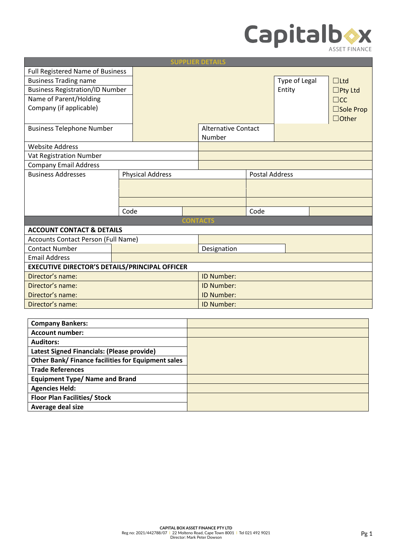

| <b>SUPPLIER DETAILS</b>                                      |  |                                 |                            |                                                     |               |                       |  |
|--------------------------------------------------------------|--|---------------------------------|----------------------------|-----------------------------------------------------|---------------|-----------------------|--|
| Full Registered Name of Business                             |  |                                 |                            |                                                     |               |                       |  |
|                                                              |  |                                 |                            |                                                     | Type of Legal | $\Box$ Ltd            |  |
| <b>Business Registration/ID Number</b>                       |  |                                 |                            |                                                     | Entity        | $\square$ Pty Ltd     |  |
|                                                              |  |                                 |                            |                                                     |               | $\square$ cc          |  |
|                                                              |  |                                 |                            |                                                     |               | $\square$ Sole Prop   |  |
|                                                              |  |                                 |                            |                                                     |               | $\Box$ Other          |  |
|                                                              |  |                                 | <b>Alternative Contact</b> |                                                     |               |                       |  |
|                                                              |  |                                 | Number                     |                                                     |               |                       |  |
|                                                              |  |                                 |                            |                                                     |               |                       |  |
| Vat Registration Number                                      |  |                                 |                            |                                                     |               |                       |  |
| <b>Company Email Address</b>                                 |  |                                 |                            |                                                     |               |                       |  |
|                                                              |  |                                 |                            |                                                     |               |                       |  |
|                                                              |  |                                 |                            |                                                     |               |                       |  |
|                                                              |  |                                 |                            |                                                     |               |                       |  |
|                                                              |  |                                 |                            |                                                     |               |                       |  |
|                                                              |  |                                 | Code                       |                                                     |               |                       |  |
|                                                              |  |                                 |                            |                                                     |               |                       |  |
| <b>ACCOUNT CONTACT &amp; DETAILS</b>                         |  |                                 |                            |                                                     |               |                       |  |
| Accounts Contact Person (Full Name)<br><b>Contact Number</b> |  |                                 |                            |                                                     |               |                       |  |
|                                                              |  |                                 |                            |                                                     |               |                       |  |
| <b>Email Address</b>                                         |  |                                 |                            |                                                     |               |                       |  |
| <b>EXECUTIVE DIRECTOR'S DETAILS/PRINCIPAL OFFICER</b>        |  |                                 |                            |                                                     |               |                       |  |
| Director's name:                                             |  |                                 |                            |                                                     |               |                       |  |
| Director's name:                                             |  |                                 | ID Number:                 |                                                     |               |                       |  |
| Director's name:                                             |  |                                 | ID Number:                 |                                                     |               |                       |  |
| Director's name:                                             |  |                                 | <b>ID Number:</b>          |                                                     |               |                       |  |
|                                                              |  | <b>Physical Address</b><br>Code |                            | <b>CONTACTS</b><br>Designation<br><b>ID Number:</b> |               | <b>Postal Address</b> |  |

| <b>Company Bankers:</b>                            |  |
|----------------------------------------------------|--|
| <b>Account number:</b>                             |  |
| <b>Auditors:</b>                                   |  |
| Latest Signed Financials: (Please provide)         |  |
| Other Bank/ Finance facilities for Equipment sales |  |
| <b>Trade References</b>                            |  |
| <b>Equipment Type/ Name and Brand</b>              |  |
| <b>Agencies Held:</b>                              |  |
| <b>Floor Plan Facilities/ Stock</b>                |  |
| Average deal size                                  |  |